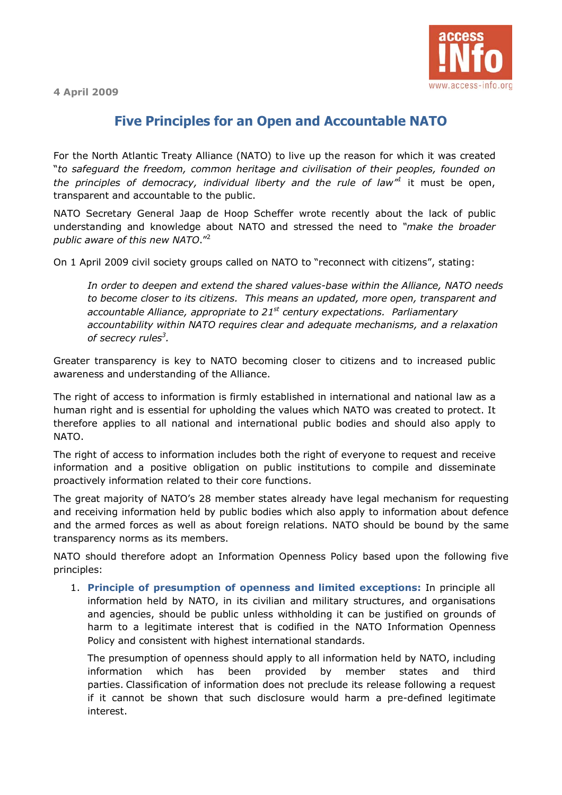**4 April 2009** 



## **Five Principles for an Open and Accountable NATO**

For the North Atlantic Treaty Alliance (NATO) to live up the reason for which it was created ì*to safeguard the freedom, common heritage and civilisation of their peoples, founded on the principles of democracy, individual liberty and the rule of law*<sup> $n$ </sup> it must be open, transparent and accountable to the public.

NATO Secretary General Jaap de Hoop Scheffer wrote recently about the lack of public understanding and knowledge about NATO and stressed the need to *ìmake the broader*  public aware of this new NATO.<sup>"2</sup>

On 1 April 2009 civil society groups called on NATO to "reconnect with citizens", stating:

*In order to deepen and extend the shared values-base within the Alliance, NATO needs to become closer to its citizens. This means an updated, more open, transparent and accountable Alliance, appropriate to 21st century expectations. Parliamentary accountability within NATO requires clear and adequate mechanisms, and a relaxation of secrecy rules3 .* 

Greater transparency is key to NATO becoming closer to citizens and to increased public awareness and understanding of the Alliance.

The right of access to information is firmly established in international and national law as a human right and is essential for upholding the values which NATO was created to protect. It therefore applies to all national and international public bodies and should also apply to NATO.

The right of access to information includes both the right of everyone to request and receive information and a positive obligation on public institutions to compile and disseminate proactively information related to their core functions.

The great majority of NATO's 28 member states already have legal mechanism for requesting and receiving information held by public bodies which also apply to information about defence and the armed forces as well as about foreign relations. NATO should be bound by the same transparency norms as its members.

NATO should therefore adopt an Information Openness Policy based upon the following five principles:

1. **Principle of presumption of openness and limited exceptions:** In principle all information held by NATO, in its civilian and military structures, and organisations and agencies, should be public unless withholding it can be justified on grounds of harm to a legitimate interest that is codified in the NATO Information Openness Policy and consistent with highest international standards.

The presumption of openness should apply to all information held by NATO, including information which has been provided by member states and third parties. Classification of information does not preclude its release following a request if it cannot be shown that such disclosure would harm a pre-defined legitimate interest.